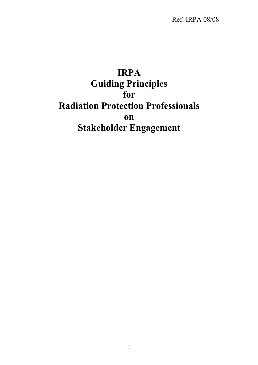# **IRPA Guiding Principles for Radiation Protection Professionals on Stakeholder Engagement**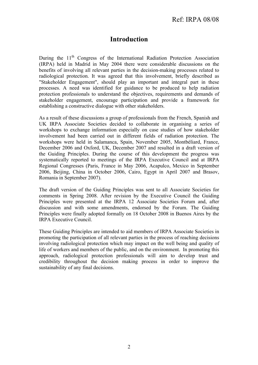# **Introduction**

During the 11<sup>th</sup> Congress of the International Radiation Protection Association (IRPA) held in Madrid in May 2004 there were considerable discussions on the benefits of involving all relevant parties in the decision-making processes related to radiological protection. It was agreed that this involvement, briefly described as "Stakeholder Engagement", should play an important and integral part in these processes. A need was identified for guidance to be produced to help radiation protection professionals to understand the objectives, requirements and demands of stakeholder engagement, encourage participation and provide a framework for establishing a constructive dialogue with other stakeholders.

As a result of these discussions a group of professionals from the French, Spanish and UK IRPA Associate Societies decided to collaborate in organising a series of workshops to exchange information especially on case studies of how stakeholder involvement had been carried out in different fields of radiation protection. The workshops were held in Salamanca, Spain, November 2005, Montbéliard, France, December 2006 and Oxford, UK, December 2007 and resulted in a draft version of the Guiding Principles. During the course of this development the progress was systematically reported to meetings of the IRPA Executive Council and at IRPA Regional Congresses (Paris, France in May 2006, Acapulco, Mexico in September 2006, Beijing, China in October 2006, Cairo, Egypt in April 2007 and Brasov, Romania in September 2007).

The draft version of the Guiding Principles was sent to all Associate Societies for comments in Spring 2008. After revision by the Executive Council the Guiding Principles were presented at the IRPA 12 Associate Societies Forum and, after discussion and with some amendments, endorsed by the Forum. The Guiding Principles were finally adopted formally on 18 October 2008 in Buenos Aires by the IRPA Executive Council.

These Guiding Principles are intended to aid members of IRPA Associate Societies in promoting the participation of all relevant parties in the process of reaching decisions involving radiological protection which may impact on the well being and quality of life of workers and members of the public, and on the environment. In promoting this approach, radiological protection professionals will aim to develop trust and credibility throughout the decision making process in order to improve the sustainability of any final decisions.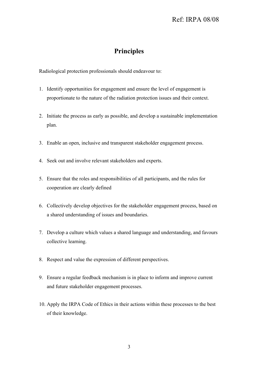# **Principles**

Radiological protection professionals should endeavour to:

- 1. Identify opportunities for engagement and ensure the level of engagement is proportionate to the nature of the radiation protection issues and their context.
- 2. Initiate the process as early as possible, and develop a sustainable implementation plan.
- 3. Enable an open, inclusive and transparent stakeholder engagement process.
- 4. Seek out and involve relevant stakeholders and experts.
- 5. Ensure that the roles and responsibilities of all participants, and the rules for cooperation are clearly defined
- 6. Collectively develop objectives for the stakeholder engagement process, based on a shared understanding of issues and boundaries.
- 7. Develop a culture which values a shared language and understanding, and favours collective learning.
- 8. Respect and value the expression of different perspectives.
- 9. Ensure a regular feedback mechanism is in place to inform and improve current and future stakeholder engagement processes.
- 10. Apply the IRPA Code of Ethics in their actions within these processes to the best of their knowledge.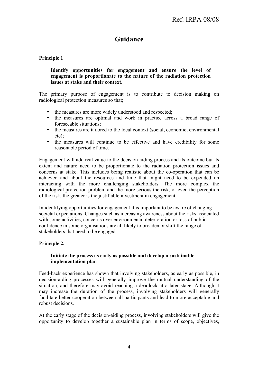# **Guidance**

## **Principle 1**

#### **Identify opportunities for engagement and ensure the level of engagement is proportionate to the nature of the radiation protection issues at stake and their context.**

The primary purpose of engagement is to contribute to decision making on radiological protection measures so that;

- the measures are more widely understood and respected;
- the measures are optimal and work in practice across a broad range of foreseeable situations;
- the measures are tailored to the local context (social, economic, environmental  $etc$ ).
- the measures will continue to be effective and have credibility for some reasonable period of time.

Engagement will add real value to the decision-aiding process and its outcome but its extent and nature need to be proportionate to the radiation protection issues and concerns at stake. This includes being realistic about the co-operation that can be achieved and about the resources and time that might need to be expended on interacting with the more challenging stakeholders. The more complex the radiological protection problem and the more serious the risk, or even the perception of the risk, the greater is the justifiable investment in engagement.

In identifying opportunities for engagement it is important to be aware of changing societal expectations. Changes such as increasing awareness about the risks associated with some activities, concerns over environmental deterioration or loss of public confidence in some organisations are all likely to broaden or shift the range of stakeholders that need to be engaged.

## **Principle 2.**

### **Initiate the process as early as possible and develop a sustainable implementation plan**

Feed-back experience has shown that involving stakeholders, as early as possible, in decision-aiding processes will generally improve the mutual understanding of the situation, and therefore may avoid reaching a deadlock at a later stage. Although it may increase the duration of the process, involving stakeholders will generally facilitate better cooperation between all participants and lead to more acceptable and robust decisions.

At the early stage of the decision-aiding process, involving stakeholders will give the opportunity to develop together a sustainable plan in terms of scope, objectives,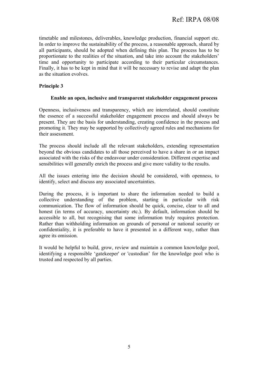timetable and milestones, deliverables, knowledge production, financial support etc. In order to improve the sustainability of the process, a reasonable approach, shared by all participants, should be adopted when defining this plan. The process has to be proportionate to the realities of the situation, and take into account the stakeholders' time and opportunity to participate according to their particular circumstances. Finally, it has to be kept in mind that it will be necessary to revise and adapt the plan as the situation evolves.

## **Principle 3**

#### **Enable an open, inclusive and transparent stakeholder engagement process**

Openness, inclusiveness and transparency, which are interrelated, should constitute the essence of a successful stakeholder engagement process and should always be present. They are the basis for understanding, creating confidence in the process and promoting it. They may be supported by collectively agreed rules and mechanisms for their assessment.

The process should include all the relevant stakeholders, extending representation beyond the obvious candidates to all those perceived to have a share in or an impact associated with the risks of the endeavour under consideration. Different expertise and sensibilities will generally enrich the process and give more validity to the results.

All the issues entering into the decision should be considered, with openness, to identify, select and discuss any associated uncertainties.

During the process, it is important to share the information needed to build a collective understanding of the problem, starting in particular with risk communication. The flow of information should be quick, concise, clear to all and honest (in terms of accuracy, uncertainty etc.). By default, information should be accessible to all, but recognising that some information truly requires protection. Rather than withholding information on grounds of personal or national security or confidentiality, it is preferable to have it presented in a different way, rather than agree its omission.

It would be helpful to build, grow, review and maintain a common knowledge pool, identifying a responsible 'gatekeeper' or 'custodian' for the knowledge pool who is trusted and respected by all parties.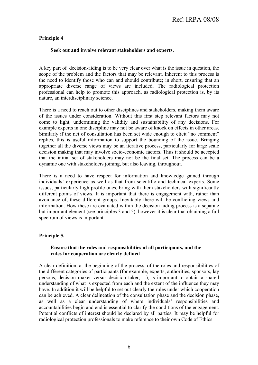#### **Principle 4**

#### **Seek out and involve relevant stakeholders and experts.**

A key part of decision-aiding is to be very clear over what is the issue in question, the scope of the problem and the factors that may be relevant. Inherent to this process is the need to identify those who can and should contribute; in short, ensuring that an appropriate diverse range of views are included. The radiological protection professional can help to promote this approach, as radiological protection is, by its nature, an interdisciplinary science.

There is a need to reach out to other disciplines and stakeholders, making them aware of the issues under consideration. Without this first step relevant factors may not come to light, undermining the validity and sustainability of any decisions. For example experts in one discipline may not be aware of knock on effects in other areas. Similarly if the net of consultation has been set wide enough to elicit "no comment" replies, this is useful information to support the bounding of the issue. Bringing together all the diverse views may be an iterative process, particularly for large scale decision making that may involve socio-economic factors. Thus it should be accepted that the initial set of stakeholders may not be the final set. The process can be a dynamic one with stakeholders joining, but also leaving, throughout.

There is a need to have respect for information and knowledge gained through individuals' experience as well as that from scientific and technical experts. Some issues, particularly high profile ones, bring with them stakeholders with significantly different points of views. It is important that there is engagement with, rather than avoidance of, these different groups. Inevitably there will be conflicting views and information. How these are evaluated within the decision-aiding process is a separate but important element (see principles 3 and 5), however it is clear that obtaining a full spectrum of views is important.

#### **Principle 5.**

#### **Ensure that the roles and responsibilities of all participants, and the rules for cooperation are clearly defined**

A clear definition, at the beginning of the process, of the roles and responsibilities of the different categories of participants (for example, experts, authorities, sponsors, lay persons, decision maker versus decision taker, ...), is important to obtain a shared understanding of what is expected from each and the extent of the influence they may have. In addition it will be helpful to set out clearly the rules under which cooperation can be achieved. A clear delineation of the consultation phase and the decision phase, as well as a clear understanding of where individuals' responsibilities and accountabilities begin and end is essential to clarify the conditions of the engagement. Potential conflicts of interest should be declared by all parties. It may be helpful for radiological protection professionals to make reference to their own Code of Ethics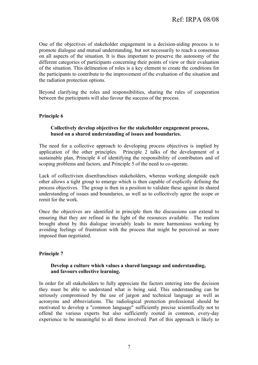One of the objectives of stakeholder engagement in a decision-aiding process is to promote dialogue and mutual understanding, but not necessarily to reach a consensus on all aspects of the situation. It is thus important to preserve the autonomy of the different categories of participants concerning their points of view or their evaluation of the situation. This delineation of roles is a key element to create the conditions for the participants to contribute to the improvement of the evaluation of the situation and the radiation protection options.

Beyond clarifying the roles and responsibilities, sharing the rules of cooperation between the participants will also favour the success of the process.

#### **Principle 6**

#### **Collectively develop objectives for the stakeholder engagement process, based on a shared understanding of issues and boundaries.**

The need for a collective approach to developing process objectives is implied by application of the other principles. Principle 2 talks of the development of a sustainable plan, Principle 4 of identifying the responsibility of contributors and of scoping problems and factors, and Principle 5 of the need to co-operate.

Lack of collectivism disenfranchises stakeholders, whereas working alongside each other allows a tight group to emerge which is then capable of explicitly defining the process objectives. The group is then in a position to validate these against its shared understanding of issues and boundaries, as well as to collectively agree the scope or remit for the work.

Once the objectives are identified in principle then the discussions can extend to ensuring that they are refined in the light of the resources available. The realism brought about by this dialogue invariably leads to more harmonious working by avoiding feelings of frustration with the process that might be perceived as more imposed than negotiated.

#### **Principle 7**

#### **Develop a culture which values a shared language and understanding, and favours collective learning.**

In order for all stakeholders to fully appreciate the factors entering into the decision they must be able to understand what is being said. This understanding can be seriously compromised by the use of jargon and technical language as well as acronyms and abbreviations. The radiological protection professional should be motivated to develop a "common language" sufficiently precise scientifically not to offend the various experts but also sufficiently rooted in common, every-day experience to be meaningful to all those involved. Part of this approach is likely to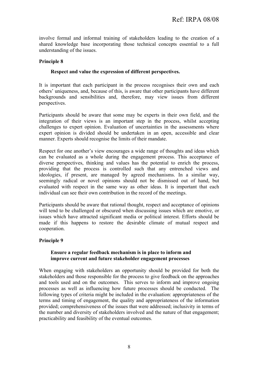involve formal and informal training of stakeholders leading to the creation of a shared knowledge base incorporating those technical concepts essential to a full understanding of the issues.

#### **Principle 8**

#### **Respect and value the expression of different perspectives.**

It is important that each participant in the process recognises their own and each others' uniqueness, and, because of this, is aware that other participants have different backgrounds and sensibilities and, therefore, may view issues from different perspectives.

Participants should be aware that some may be experts in their own field, and the integration of their views is an important step in the process, whilst accepting challenges to expert opinion. Evaluation of uncertainties in the assessments where expert opinion is divided should be undertaken in an open, accessible and clear manner. Experts should recognise the limits of their mandate.

Respect for one another's view encourages a wide range of thoughts and ideas which can be evaluated as a whole during the engagement process. This acceptance of diverse perspectives, thinking and values has the potential to enrich the process, providing that the process is controlled such that any entrenched views and ideologies, if present, are managed by agreed mechanisms. In a similar way, seemingly radical or novel opinions should not be dismissed out of hand, but evaluated with respect in the same way as other ideas. It is important that each individual can see their own contribution in the record of the meetings.

Participants should be aware that rational thought, respect and acceptance of opinions will tend to be challenged or obscured when discussing issues which are emotive, or issues which have attracted significant media or political interest. Efforts should be made if this happens to restore the desirable climate of mutual respect and cooperation.

#### **Principle 9**

#### **Ensure a regular feedback mechanism is in place to inform and improve current and future stakeholder engagement processes**

When engaging with stakeholders an opportunity should be provided for both the stakeholders and those responsible for the process to give feedback on the approaches and tools used and on the outcomes. This serves to inform and improve ongoing processes as well as influencing how future processes should be conducted. The following types of criteria might be included in the evaluation: appropriateness of the terms and timing of engagement, the quality and appropriateness of the information provided; comprehensiveness of the issues that were addressed; inclusivity in terms of the number and diversity of stakeholders involved and the nature of that engagement; practicability and feasibility of the eventual outcomes.